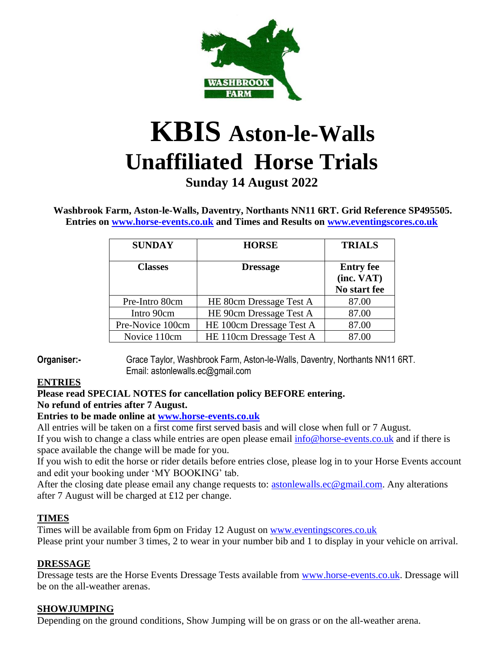

# **KBIS Aston-le-Walls Unaffiliated Horse Trials**

# **Sunday 14 August 2022**

**Washbrook Farm, Aston-le-Walls, Daventry, Northants NN11 6RT. Grid Reference SP495505. Entries on [www.horse-events.co.uk](http://www.horse-events.co.uk/) and Times and Results on [www.eventingscores.co.uk](http://www.eventingscores.co.uk/)**

| <b>SUNDAY</b>    | <b>HORSE</b>             | <b>TRIALS</b>    |
|------------------|--------------------------|------------------|
| <b>Classes</b>   | <b>Dressage</b>          | <b>Entry fee</b> |
|                  |                          | (inc. VAT)       |
|                  |                          | No start fee     |
| Pre-Intro 80cm   | HE 80cm Dressage Test A  | 87.00            |
| Intro 90cm       | HE 90cm Dressage Test A  | 87.00            |
| Pre-Novice 100cm | HE 100cm Dressage Test A | 87.00            |
| Novice 110cm     | HE 110cm Dressage Test A | 87.00            |

**Organiser:-** Grace Taylor, Washbrook Farm, Aston-le-Walls, Daventry, Northants NN11 6RT. Email: astonlewalls.ec@gmail.com

# **ENTRIES**

#### **Please read SPECIAL NOTES for cancellation policy BEFORE entering. No refund of entries after 7 August.**

#### **Entries to be made online at [www.horse-events.co.uk](http://www.horse-events.co.uk/)**

All entries will be taken on a first come first served basis and will close when full or 7 August.

If you wish to change a class while entries are open please email  $\frac{info@horse-events.co.uk}{info@horse-events.aco.uk}$  and if there is space available the change will be made for you.

If you wish to edit the horse or rider details before entries close, please log in to your Horse Events account and edit your booking under 'MY BOOKING' tab.

After the closing date please email any change requests to: [astonlewalls.ec@gmail.com.](mailto:astonlewalls.ec@gmail.com) Any alterations after 7 August will be charged at £12 per change.

# **TIMES**

Times will be available from 6pm on Friday 12 August on [www.eventingscores.co.uk](http://www.eventingscores.co.uk/) Please print your number 3 times, 2 to wear in your number bib and 1 to display in your vehicle on arrival.

# **DRESSAGE**

Dressage tests are the Horse Events Dressage Tests available from [www.horse-events.co.uk.](http://www.horse-events.co.uk/) Dressage will be on the all-weather arenas.

#### **SHOWJUMPING**

Depending on the ground conditions, Show Jumping will be on grass or on the all-weather arena.